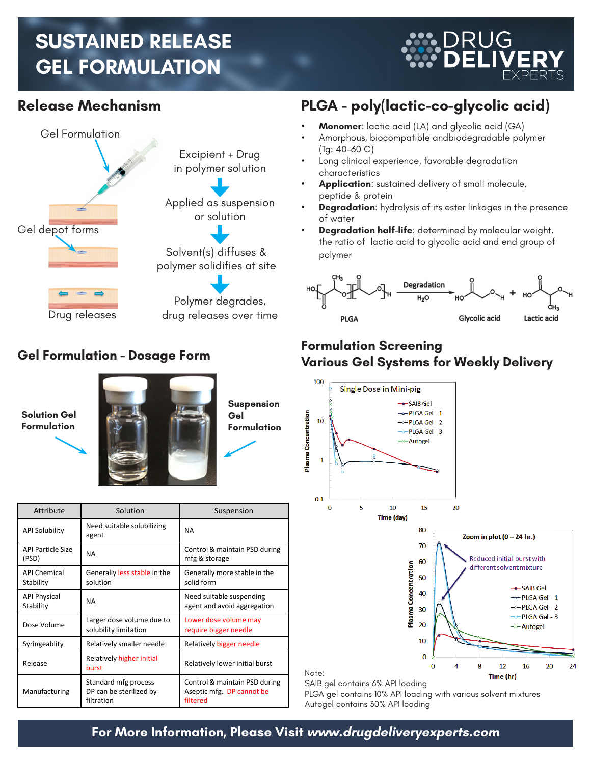# **SUSTAINED RELEASE GEL FORMULATION**

RUG



### **Gel Formulation - Dosage Form**



| Attribute                         | Solution                                                      | Suspension                                                             |
|-----------------------------------|---------------------------------------------------------------|------------------------------------------------------------------------|
| <b>API Solubility</b>             | Need suitable solubilizing<br>agent                           | <b>NA</b>                                                              |
| <b>API Particle Size</b><br>(PSD) | <b>NA</b>                                                     | Control & maintain PSD during<br>mfg & storage                         |
| <b>API Chemical</b><br>Stability  | Generally less stable in the<br>solution                      | Generally more stable in the<br>solid form                             |
| <b>API Physical</b><br>Stability  | <b>NA</b>                                                     | Need suitable suspending<br>agent and avoid aggregation                |
| Dose Volume                       | Larger dose volume due to<br>solubility limitation            | Lower dose volume may<br>require bigger needle                         |
| Syringeablity                     | Relatively smaller needle                                     | Relatively bigger needle                                               |
| Release                           | Relatively higher initial<br>burst                            | Relatively lower initial burst                                         |
| Manufacturing                     | Standard mfg process<br>DP can be sterilized by<br>filtration | Control & maintain PSD during<br>Aseptic mfg. DP cannot be<br>filtered |

## **Release Mechanism PLGA - poly(lactic-co-glycolic acid)**

- **Monomer:** lactic acid (LA) and glycolic acid (GA)
- Amorphous, biocompatible andbiodegradable polymer (Tg: 40-60 C)
- Long clinical experience, favorable degradation characteristics
- Application: sustained delivery of small molecule, peptide & protein
- **Degradation:** hydrolysis of its ester linkages in the presence of water
- **Degradation half-life**: determined by molecular weight, the ratio of lactic acid to glycolic acid and end group of polymer



#### **Formulation Screening Various Gel Systems for Weekly Delivery**



SAIB gel contains 6% API loading

PLGA gel contains 10% API loading with various solvent mixtures Autogel contains 30% API loading

#### **For More Information, Please Visit www.drugdeliveryexperts.com**